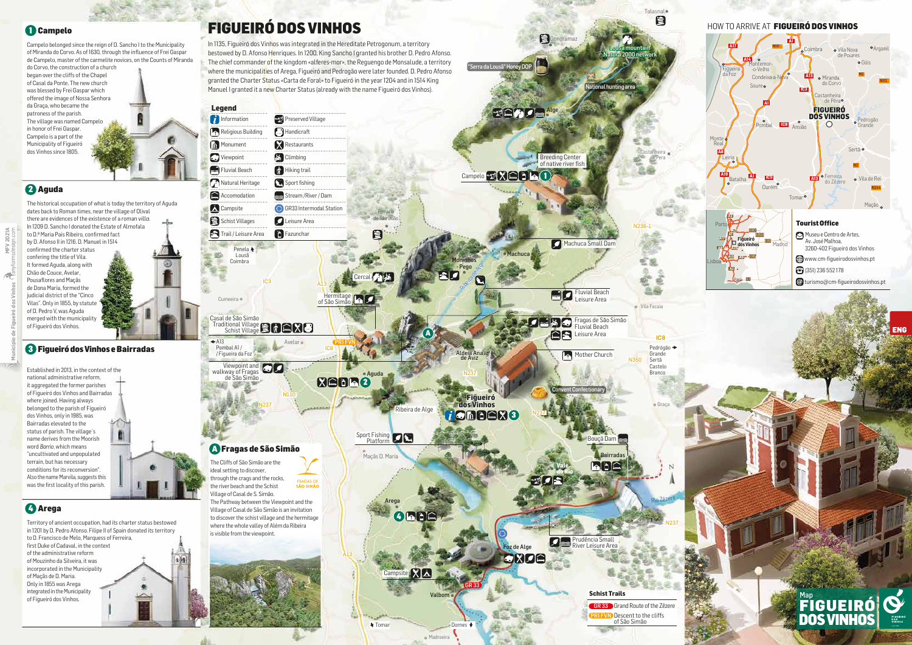N237

A13

N237

IC8

N110

Valbom

Foz de Alge

GRIC

GR 33 Grand Route of the Zêzere

Lousã mountain Natura 2000 network

Aguda

Talasnal

目

Graça

Madroeira

◆ Tomar Dornes ◆

Arega

**ARRE** 

**PRI FVN** Descent to the cliffs of São Simão



**E**G

"Serra da Lousã

2

A

Prudência Small River Leisure Area

**Schist Trails**

# FIGUEIRÓ DOS VINHOS

### 1 Campelo

In 1135, Figueiró dos Vinhos was integrated in the Hereditate Petrogonum, a territory bestowed by D. Afonso Henriques. In 1200, King Sancho I granted his brother D. Pedro Afonso. The chief commander of the kingdom «alferes-mor», the Requengo de Monsalude, a territory where the municipalities of Arega, Figueiró and Pedrogão were later founded. D. Pedro Afonso granted the Charter Status «Carta de Foral» to Figueiró in the year 1204 and in 1514 King Manuel I granted it a new Charter Status (already with the name Figueiró dos Vinhos).



## 2 Aguda

## 4 Arega

Sport Fishing Platform

Campelo belonged since the reign of D. Sancho I to the Municipality of Miranda do Corvo. As of 1630, through the influence of Frei Gaspar de Campelo, master of the carmelite novices, on the Counts of Miranda

#### 3 Figueiró dos Vinhos e Bairradas



do Corvo, the construction of a church began over the cliffs of the Chapel of Casal da Ponte. The new church was blessed by Frei Gaspar which offered the image of Nossa Senhora da Graça, who became the patroness of the parish. The village was named Campelo in honor of Frei Gaspar. Campelo is a part of the Municipality of Figueiró dos Vinhos since 1805.



A Fragas de São Simão

The historical occupation of what is today the territory of Aguda dates back to Roman times, near the village of Olival there are evidences of the existence of a roman *villa*. In 1209 D. Sancho I donated the Estate of Almofala to D.ª Maria Pais Ribeiro, confirmed fact by D. Afonso II in 1216. D. Manuel in 1514 confirmed the charter status confering the title of Vila. It formed Aguda, along with Chão de Couce, Avelar, Pousaflores and Maçãs de Dona Maria, formed the judicial district of the "Cinco Vilas". Only in 1855, by statute of D. Pedro V, was Aguda merged with the municipality of Figueiró dos Vinhos.

Territory of ancient occupation, had its charter status bestowed in 1201 by D. Pedro Afonso. Filipe II of Spain donated its territory to D. Francisco de Melo, Marquess of Ferreira, first Duke of Cadaval, in the context of the administrative reform of Mouzinho da Silveira, it was incorporated in the Municipality of Maçãs de D. Maria. Only in 1855 was Arega integrated in the Municipality of Figueiró dos Vinhos.

в

Established in 2013, in the context of the national administrative reform, it aggregated the former parishes of Figueiró dos Vinhos and Bairradas where joined. Having always belonged to the parish of Figueiró dos Vinhos, only in 1985, was Bairradas elevated to the status of parish. The village´s name derives from the Moorish word *Barrio*, which means "uncultivated and unpopulated terrain, but has necessary conditions for its reconversion". Also the name Marvila, suggests this was the first locality of this parish.

PR1 FVN

GR 33

The Cliffs of São Simão are the ideal setting to discover, through the crags and the rocks, **FRAGAS DE<br>SÃO SIMÃO** the river beach and the Schist Village of Casal de S. Simão. The Pathway between the Viewpoint and the Village of Casal de São Simão is an invitation to discover the schist village and the hermitage where the whole valley of Além da Ribeira is visible from the viewpoint.



de São Simão

Ribeira de Alge

**Campsite** XX

**Município de Figueiró dos Vinhos**

**MFV 2021A**